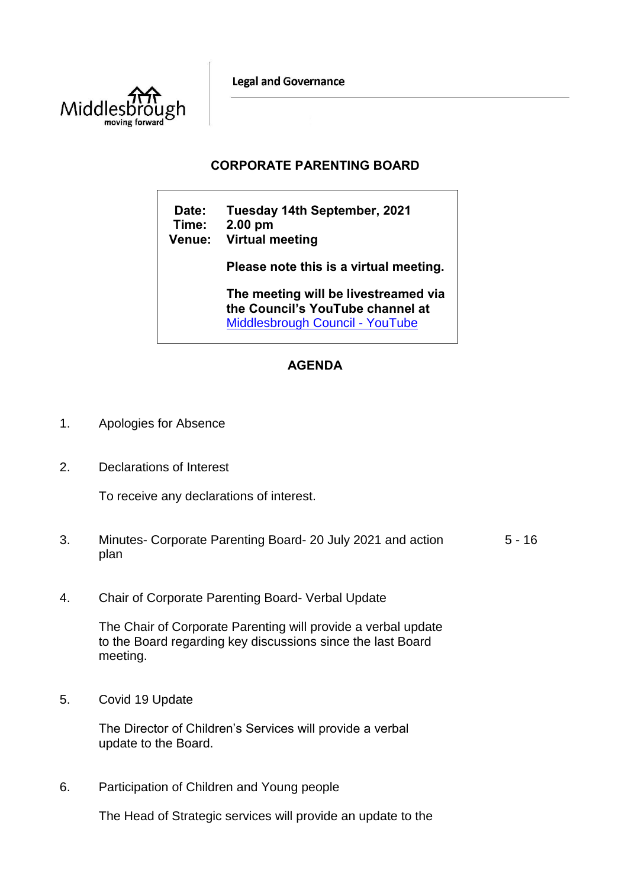**Legal and Governance** 



## **CORPORATE PARENTING BOARD**

**Date: Tuesday 14th September, 2021 Time: 2.00 pm Venue: Virtual meeting Please note this is a virtual meeting. The meeting will be livestreamed via the Council's YouTube channel at**  [Middlesbrough Council -](https://www.youtube.com/user/middlesbroughcouncil) YouTube

## **AGENDA**

- 1. Apologies for Absence
- 2. Declarations of Interest

To receive any declarations of interest.

- 3. Minutes- Corporate Parenting Board- 20 July 2021 and action plan  $5 - 16$
- 4. Chair of Corporate Parenting Board- Verbal Update

The Chair of Corporate Parenting will provide a verbal update to the Board regarding key discussions since the last Board meeting.

5. Covid 19 Update

The Director of Children's Services will provide a verbal update to the Board.

6. Participation of Children and Young people

The Head of Strategic services will provide an update to the